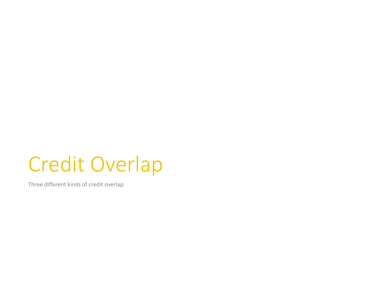# Credit Overlap

Three different kinds of credit overlap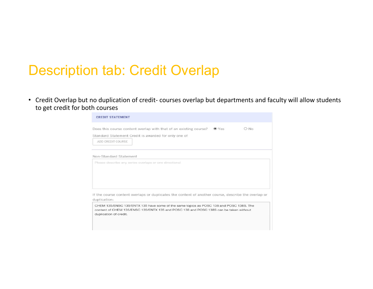### Description tab: Credit Overlap

• Credit Overlap but no duplication of credit‐ courses overlap but departments and faculty will allow students to get credit for both courses

| Does this course content overlap with that of an existing course?<br>$O$ No<br>$\odot$ Yes<br>Standard Statement Credit is awarded for only one of<br>ADD CREDIT COURSE<br>Non-Standard Statement<br>Please describe any series overlaps or one directional<br>CHEM 135/ENSC 135/ENTX 135 have some of the same topics as POSC 138 and POSC 138S. The<br>content of CHEM 135/ENSC 135/ENTX 135 and POSC 138 and POSC 138S can be taken without<br>duplication of credit. | <b>CREDIT STATEMENT</b> |  |
|--------------------------------------------------------------------------------------------------------------------------------------------------------------------------------------------------------------------------------------------------------------------------------------------------------------------------------------------------------------------------------------------------------------------------------------------------------------------------|-------------------------|--|
|                                                                                                                                                                                                                                                                                                                                                                                                                                                                          |                         |  |
| If the course content overlaps or duplicates the content of another course, describe the overlap or<br>duplication:                                                                                                                                                                                                                                                                                                                                                      |                         |  |
|                                                                                                                                                                                                                                                                                                                                                                                                                                                                          |                         |  |
|                                                                                                                                                                                                                                                                                                                                                                                                                                                                          |                         |  |
|                                                                                                                                                                                                                                                                                                                                                                                                                                                                          |                         |  |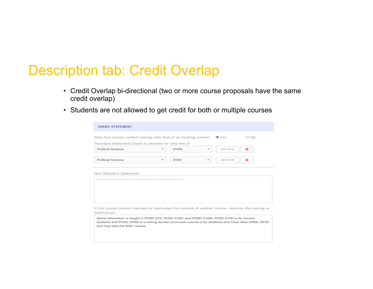### Description tab: Credit Overlap

- Credit Overlap bi-directional (two or more course proposals have the same credit overlap)
- Students are not allowed to get credit for both or multiple courses

| Standard Statement Credit is awarded for only one of<br>Political Science |   | 010W | ٠ | ADD ROW |  |
|---------------------------------------------------------------------------|---|------|---|---------|--|
| Political Science                                                         | ۰ | 010H | ۰ | ADD ROW |  |
| Non-Standard Statement                                                    |   |      |   |         |  |
|                                                                           |   |      |   |         |  |
| Please describe any series overlaps or one directional                    |   |      |   |         |  |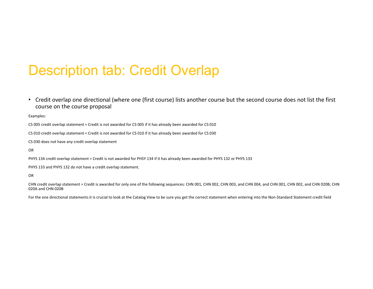## Description tab: Credit Overlap

• Credit overlap one directional (where one (first course) lists another course but the second course does not list the first course on the course proposal

Examples:

CS 005 credit overlap statement <sup>=</sup> Credit is not awarded for CS 005 if it has already been awarded for CS 010

CS 010 credit overlap statement <sup>=</sup> Credit is not awarded for CS 010 if it has already been awarded for CS 030

CS 030 does not have any credit overlap statement

OR

PHYS 134 credit overlap statement <sup>=</sup> Credit is not awarded for PHSY 134 if it has already been awarded for PHYS 132 or PHYS 133

PHYS 133 and PHYS 132 do not have <sup>a</sup> credit overlap statement.

OR

CHN credit overlap statement <sup>=</sup> Credit is awarded for only one of the following sequences: CHN 001, CHN 002, CHN 003, and CHN 004, and CHN 001, CHN 002, and CHN 020B; CHN 020A and CHN 020B

For the one directional statements it is crucial to look at the Catalog View to be sure you get the correct statement when entering into the Non‐Standard Statement credit field